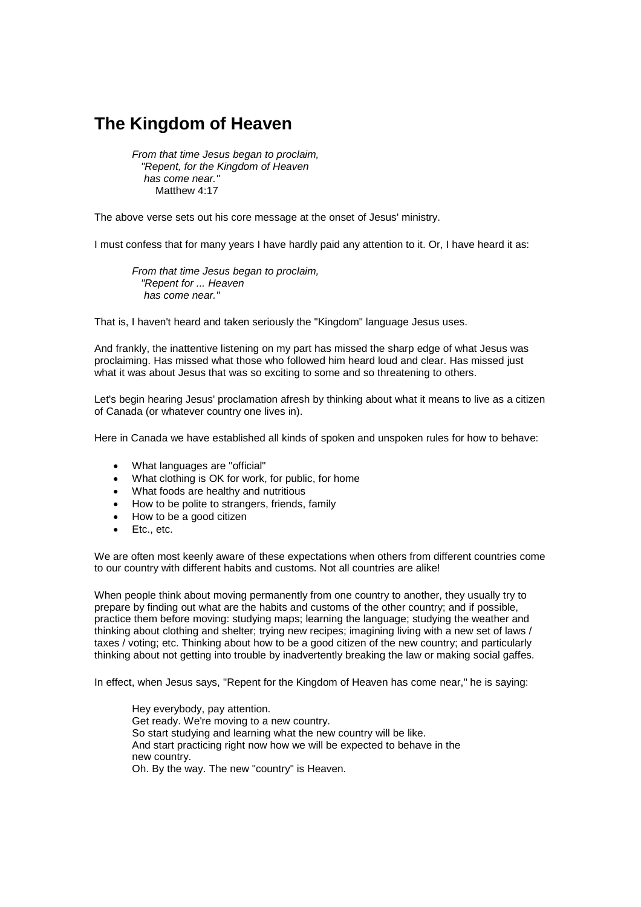## **The Kingdom of Heaven**

*From that time Jesus began to proclaim, "Repent, for the Kingdom of Heaven has come near."* Matthew 4:17

The above verse sets out his core message at the onset of Jesus' ministry.

I must confess that for many years I have hardly paid any attention to it. Or, I have heard it as:

*From that time Jesus began to proclaim, "Repent for ... Heaven has come near."*

That is, I haven't heard and taken seriously the "Kingdom" language Jesus uses.

And frankly, the inattentive listening on my part has missed the sharp edge of what Jesus was proclaiming. Has missed what those who followed him heard loud and clear. Has missed just what it was about Jesus that was so exciting to some and so threatening to others.

Let's begin hearing Jesus' proclamation afresh by thinking about what it means to live as a citizen of Canada (or whatever country one lives in).

Here in Canada we have established all kinds of spoken and unspoken rules for how to behave:

- What languages are "official"
- What clothing is OK for work, for public, for home
- What foods are healthy and nutritious
- How to be polite to strangers, friends, family
- How to be a good citizen
- Etc., etc.

We are often most keenly aware of these expectations when others from different countries come to our country with different habits and customs. Not all countries are alike!

When people think about moving permanently from one country to another, they usually try to prepare by finding out what are the habits and customs of the other country; and if possible, practice them before moving: studying maps; learning the language; studying the weather and thinking about clothing and shelter; trying new recipes; imagining living with a new set of laws / taxes / voting; etc. Thinking about how to be a good citizen of the new country; and particularly thinking about not getting into trouble by inadvertently breaking the law or making social gaffes.

In effect, when Jesus says, "Repent for the Kingdom of Heaven has come near," he is saying:

Hey everybody, pay attention. Get ready. We're moving to a new country. So start studying and learning what the new country will be like. And start practicing right now how we will be expected to behave in the new country. Oh. By the way. The new "country" is Heaven.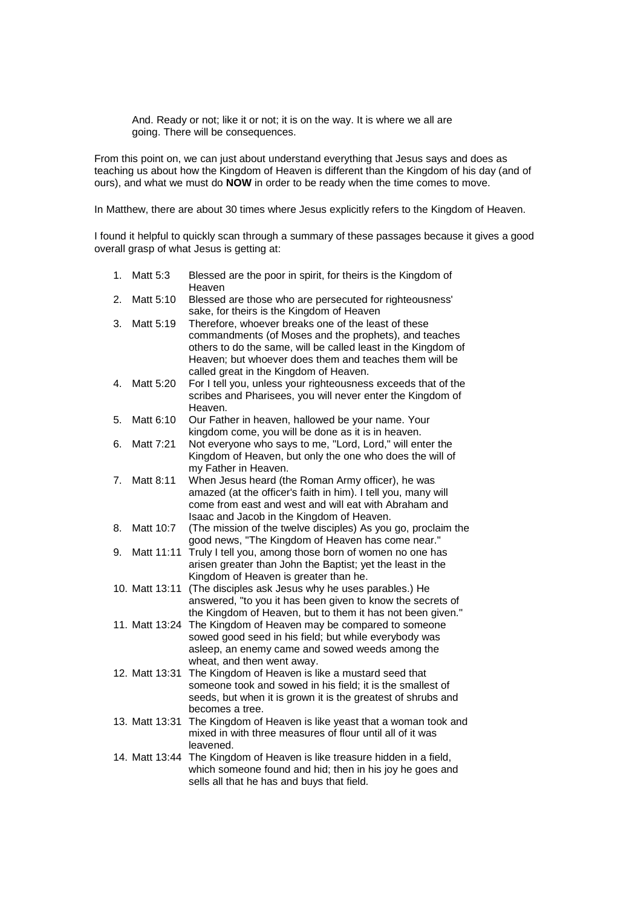And. Ready or not; like it or not; it is on the way. It is where we all are going. There will be consequences.

From this point on, we can just about understand everything that Jesus says and does as teaching us about how the Kingdom of Heaven is different than the Kingdom of his day (and of ours), and what we must do **NOW** in order to be ready when the time comes to move.

In Matthew, there are about 30 times where Jesus explicitly refers to the Kingdom of Heaven.

I found it helpful to quickly scan through a summary of these passages because it gives a good overall grasp of what Jesus is getting at:

- 1. Matt 5:3 Blessed are the poor in spirit, for theirs is the Kingdom of Heaven
- 2. Matt 5:10 Blessed are those who are persecuted for righteousness' sake, for theirs is the Kingdom of Heaven
- 3. Matt 5:19 Therefore, whoever breaks one of the least of these commandments (of Moses and the prophets), and teaches others to do the same, will be called least in the Kingdom of Heaven; but whoever does them and teaches them will be called great in the Kingdom of Heaven.
- 4. Matt 5:20 For I tell you, unless your righteousness exceeds that of the scribes and Pharisees, you will never enter the Kingdom of Heaven.
- 5. Matt 6:10 Our Father in heaven, hallowed be your name. Your kingdom come, you will be done as it is in heaven.
- 6. Matt 7:21 Not everyone who says to me, "Lord, Lord," will enter the Kingdom of Heaven, but only the one who does the will of my Father in Heaven.
- 7. Matt 8:11 When Jesus heard (the Roman Army officer), he was amazed (at the officer's faith in him). I tell you, many will come from east and west and will eat with Abraham and Isaac and Jacob in the Kingdom of Heaven.
- 8. Matt 10:7 (The mission of the twelve disciples) As you go, proclaim the good news, "The Kingdom of Heaven has come near."
- 9. Matt 11:11 Truly I tell you, among those born of women no one has arisen greater than John the Baptist; yet the least in the Kingdom of Heaven is greater than he.
- 10. Matt 13:11 (The disciples ask Jesus why he uses parables.) He answered, "to you it has been given to know the secrets of the Kingdom of Heaven, but to them it has not been given."
- 11. Matt 13:24 The Kingdom of Heaven may be compared to someone sowed good seed in his field; but while everybody was asleep, an enemy came and sowed weeds among the wheat, and then went away.
- 12. Matt 13:31 The Kingdom of Heaven is like a mustard seed that someone took and sowed in his field; it is the smallest of seeds, but when it is grown it is the greatest of shrubs and becomes a tree.
- 13. Matt 13:31 The Kingdom of Heaven is like yeast that a woman took and mixed in with three measures of flour until all of it was leavened.
- 14. Matt 13:44 The Kingdom of Heaven is like treasure hidden in a field, which someone found and hid; then in his joy he goes and sells all that he has and buys that field.